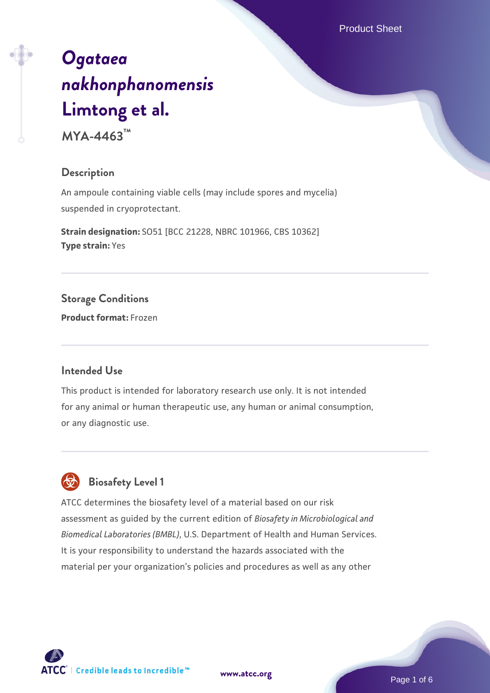# *[Ogataea](https://www.atcc.org/products/mya-4463) [nakhonphanomensis](https://www.atcc.org/products/mya-4463)* **[Limtong et al.](https://www.atcc.org/products/mya-4463)**

**MYA-4463™**

### **Description**

An ampoule containing viable cells (may include spores and mycelia) suspended in cryoprotectant.

**Strain designation:** SO51 [BCC 21228, NBRC 101966, CBS 10362] **Type strain:** Yes

**Storage Conditions**

**Product format:** Frozen

### **Intended Use**

This product is intended for laboratory research use only. It is not intended for any animal or human therapeutic use, any human or animal consumption, or any diagnostic use.



ATCC determines the biosafety level of a material based on our risk assessment as guided by the current edition of *Biosafety in Microbiological and Biomedical Laboratories (BMBL)*, U.S. Department of Health and Human Services. It is your responsibility to understand the hazards associated with the material per your organization's policies and procedures as well as any other

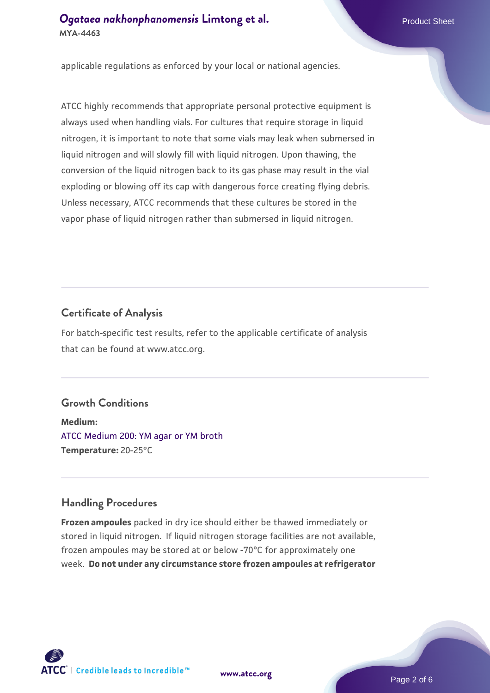applicable regulations as enforced by your local or national agencies.

ATCC highly recommends that appropriate personal protective equipment is always used when handling vials. For cultures that require storage in liquid nitrogen, it is important to note that some vials may leak when submersed in liquid nitrogen and will slowly fill with liquid nitrogen. Upon thawing, the conversion of the liquid nitrogen back to its gas phase may result in the vial exploding or blowing off its cap with dangerous force creating flying debris. Unless necessary, ATCC recommends that these cultures be stored in the vapor phase of liquid nitrogen rather than submersed in liquid nitrogen.

# **Certificate of Analysis**

For batch-specific test results, refer to the applicable certificate of analysis that can be found at www.atcc.org.

# **Growth Conditions**

**Medium:**  [ATCC Medium 200: YM agar or YM broth](https://www.atcc.org/-/media/product-assets/documents/microbial-media-formulations/2/0/0/atcc-medium-200.pdf?rev=ac40fd74dc13433a809367b0b9da30fc) **Temperature:** 20-25°C

# **Handling Procedures**

**Frozen ampoules** packed in dry ice should either be thawed immediately or stored in liquid nitrogen. If liquid nitrogen storage facilities are not available, frozen ampoules may be stored at or below -70°C for approximately one week. **Do not under any circumstance store frozen ampoules at refrigerator**



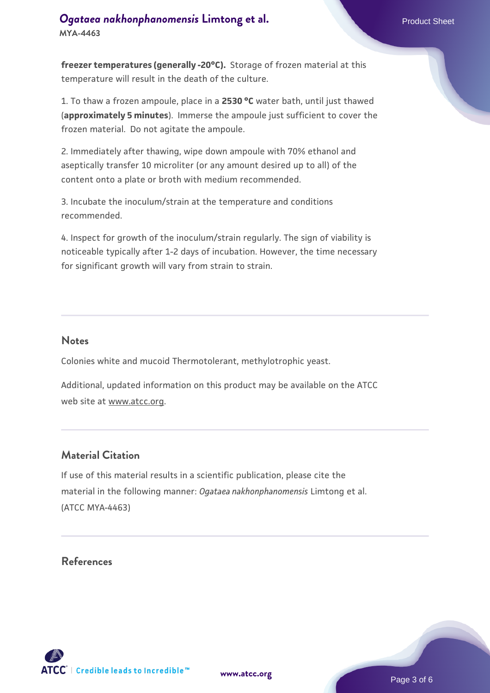**freezer temperatures (generally -20°C).** Storage of frozen material at this temperature will result in the death of the culture.

1. To thaw a frozen ampoule, place in a **2530 °C** water bath, until just thawed (**approximately 5 minutes**). Immerse the ampoule just sufficient to cover the frozen material. Do not agitate the ampoule.

2. Immediately after thawing, wipe down ampoule with 70% ethanol and aseptically transfer 10 microliter (or any amount desired up to all) of the content onto a plate or broth with medium recommended.

3. Incubate the inoculum/strain at the temperature and conditions recommended.

4. Inspect for growth of the inoculum/strain regularly. The sign of viability is noticeable typically after 1-2 days of incubation. However, the time necessary for significant growth will vary from strain to strain.

### **Notes**

Colonies white and mucoid Thermotolerant, methylotrophic yeast.

Additional, updated information on this product may be available on the ATCC web site at www.atcc.org.

# **Material Citation**

If use of this material results in a scientific publication, please cite the material in the following manner: *Ogataea nakhonphanomensis* Limtong et al. (ATCC MYA-4463)

### **References**

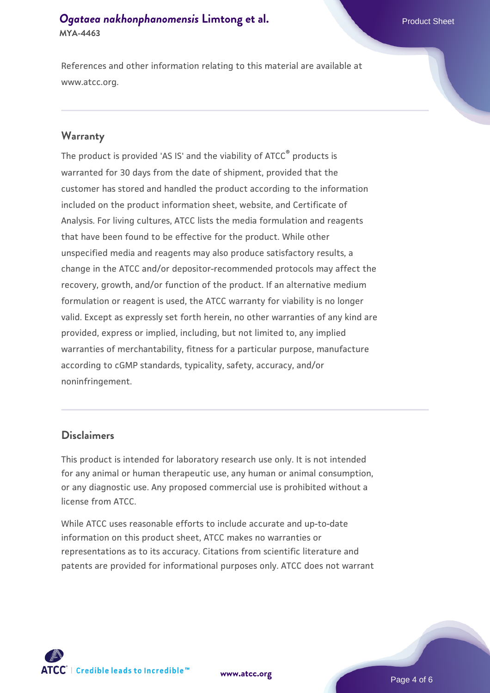References and other information relating to this material are available at www.atcc.org.

### **Warranty**

The product is provided 'AS IS' and the viability of ATCC® products is warranted for 30 days from the date of shipment, provided that the customer has stored and handled the product according to the information included on the product information sheet, website, and Certificate of Analysis. For living cultures, ATCC lists the media formulation and reagents that have been found to be effective for the product. While other unspecified media and reagents may also produce satisfactory results, a change in the ATCC and/or depositor-recommended protocols may affect the recovery, growth, and/or function of the product. If an alternative medium formulation or reagent is used, the ATCC warranty for viability is no longer valid. Except as expressly set forth herein, no other warranties of any kind are provided, express or implied, including, but not limited to, any implied warranties of merchantability, fitness for a particular purpose, manufacture according to cGMP standards, typicality, safety, accuracy, and/or noninfringement.

### **Disclaimers**

This product is intended for laboratory research use only. It is not intended for any animal or human therapeutic use, any human or animal consumption, or any diagnostic use. Any proposed commercial use is prohibited without a license from ATCC.

While ATCC uses reasonable efforts to include accurate and up-to-date information on this product sheet, ATCC makes no warranties or representations as to its accuracy. Citations from scientific literature and patents are provided for informational purposes only. ATCC does not warrant



**[www.atcc.org](http://www.atcc.org)**

Page 4 of 6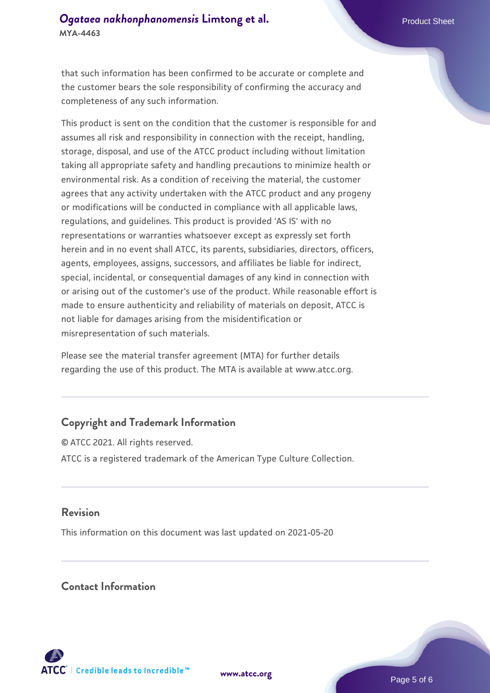that such information has been confirmed to be accurate or complete and the customer bears the sole responsibility of confirming the accuracy and completeness of any such information.

This product is sent on the condition that the customer is responsible for and assumes all risk and responsibility in connection with the receipt, handling, storage, disposal, and use of the ATCC product including without limitation taking all appropriate safety and handling precautions to minimize health or environmental risk. As a condition of receiving the material, the customer agrees that any activity undertaken with the ATCC product and any progeny or modifications will be conducted in compliance with all applicable laws, regulations, and guidelines. This product is provided 'AS IS' with no representations or warranties whatsoever except as expressly set forth herein and in no event shall ATCC, its parents, subsidiaries, directors, officers, agents, employees, assigns, successors, and affiliates be liable for indirect, special, incidental, or consequential damages of any kind in connection with or arising out of the customer's use of the product. While reasonable effort is made to ensure authenticity and reliability of materials on deposit, ATCC is not liable for damages arising from the misidentification or misrepresentation of such materials.

Please see the material transfer agreement (MTA) for further details regarding the use of this product. The MTA is available at www.atcc.org.

# **Copyright and Trademark Information**

© ATCC 2021. All rights reserved. ATCC is a registered trademark of the American Type Culture Collection.

### **Revision**

This information on this document was last updated on 2021-05-20

### **Contact Information**



**[www.atcc.org](http://www.atcc.org)**